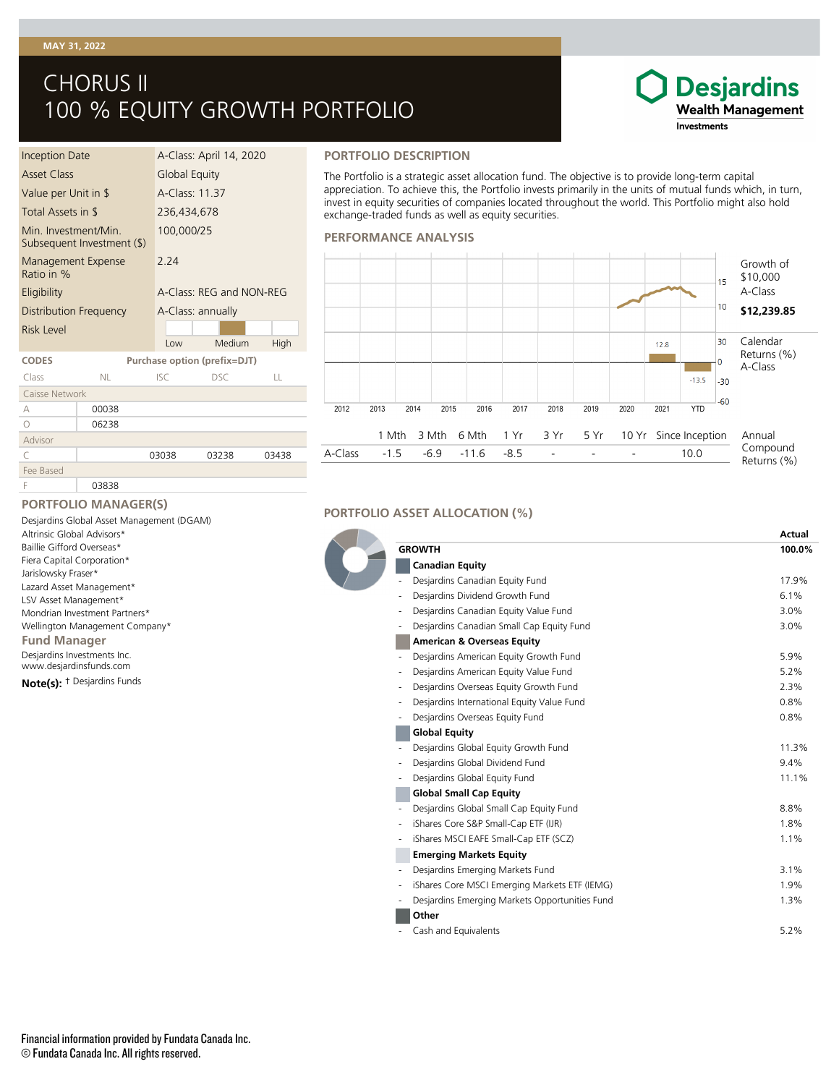# **MAY 31, 2022**

# CHORUS II 100 % EQUITY GROWTH PORTFOLIO

## Inception Date A-Class: April 14, 2020 Asset Class Global Equity Value per Unit in \$ A-Class: 11.37 Total Assets in \$ 236,434,678 Min. Investment/Min. Subsequent Investment (\$) 100,000/25 Management Expense Ratio in % 2.24 Eligibility **A-Class: REG and NON-REG** Distribution Frequency A-Class: annually Risk Level Low Medium High **CODES Purchase option (prefix=DJT)** Class NL ISC DSC LL Caisse Network A 00038 O 06238 Advisor C 03038 03238 03438 Fee Based

#### **PORTFOLIO DESCRIPTION**

The Portfolio is a strategic asset allocation fund. The objective is to provide long-term capital appreciation. To achieve this, the Portfolio invests primarily in the units of mutual funds which, in turn, invest in equity securities of companies located throughout the world. This Portfolio might also hold exchange-traded funds as well as equity securities.

**Desjardins Wealth Management** 

Investments

#### **PERFORMANCE ANALYSIS**



### **PORTFOLIO MANAGER(S)**

F 03838

† Desjardins Funds **Note(s):** Desjardins Investments Inc. www.desjardinsfunds.com **Fund Manager** Desjardins Global Asset Management (DGAM) Altrinsic Global Advisors\* Baillie Gifford Overseas\* Fiera Capital Corporation\* Jarislowsky Fraser\* Lazard Asset Management\* LSV Asset Management\* Mondrian Investment Partners\* Wellington Management Company\*

## **PORTFOLIO ASSET ALLOCATION (%)**

|                                                                              | Actual  |
|------------------------------------------------------------------------------|---------|
| <b>GROWTH</b>                                                                | 100.0%  |
| <b>Canadian Equity</b>                                                       |         |
| Desjardins Canadian Equity Fund                                              | 17.9%   |
| Desjardins Dividend Growth Fund                                              | 6.1%    |
| Desjardins Canadian Equity Value Fund                                        | 3.0%    |
| Desjardins Canadian Small Cap Equity Fund<br>$\centering \label{eq:reduced}$ | 3.0%    |
| <b>American &amp; Overseas Equity</b>                                        |         |
| Desjardins American Equity Growth Fund                                       | 5.9%    |
| Desjardins American Equity Value Fund                                        | 5.2%    |
| Desjardins Overseas Equity Growth Fund<br>$\overline{\phantom{0}}$           | 2.3%    |
| Desjardins International Equity Value Fund<br>-                              | 0.8%    |
| Desjardins Overseas Equity Fund                                              | 0.8%    |
| <b>Global Equity</b>                                                         |         |
| Desjardins Global Equity Growth Fund                                         | 11.3%   |
| Desjardins Global Dividend Fund<br>$\overline{\phantom{0}}$                  | $9.4\%$ |
| Desjardins Global Equity Fund<br>٠                                           | 11.1%   |
| <b>Global Small Cap Equity</b>                                               |         |
| Desjardins Global Small Cap Equity Fund                                      | 8.8%    |
| iShares Core S&P Small-Cap ETF (IJR)<br>$\overline{\phantom{a}}$             | 1.8%    |
| iShares MSCI EAFE Small-Cap ETF (SCZ)<br>-                                   | 1.1%    |
| <b>Emerging Markets Equity</b>                                               |         |
| Desiardins Emerging Markets Fund                                             | 3.1%    |
| iShares Core MSCI Emerging Markets ETF (IEMG)                                | 1.9%    |
| Desjardins Emerging Markets Opportunities Fund                               | 1.3%    |
| Other                                                                        |         |
| Cash and Equivalents                                                         | 5.2%    |